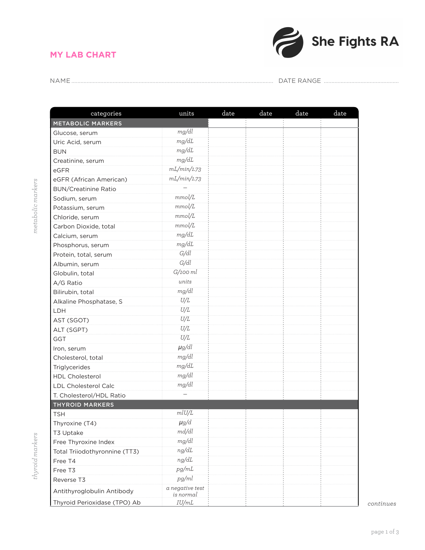## **MY LAB CHART**



NAME.................................................................................................................................... DATE RANGE .................................................

| mg/dl<br>mg/dL<br>mg/dL<br>mg/dL<br>mL/min/1.73<br>mL/min/1.73<br>mmol/L<br>mmol/L<br>mmol/L<br>mmol/L<br>mg/dL<br>mg/dL<br>G/dl<br>G/dl<br>$G/100$ $ml$<br>units<br>mg/dl<br>U/L<br>U/L<br>U/L<br>U/L<br>U/L<br>$\mu$ g/dl<br>mg/dl<br>mg/dL<br>mg/dl<br>mg/dl<br>mlU/L<br>$\mu$ g/d<br>md/dl<br>mg/dl<br>ng/dL<br>ng/dL<br>pg/mL<br>pg/ml<br>a negative test<br>is normal<br>IU/mL | categories                    | units | date | date | date | date |
|--------------------------------------------------------------------------------------------------------------------------------------------------------------------------------------------------------------------------------------------------------------------------------------------------------------------------------------------------------------------------------------|-------------------------------|-------|------|------|------|------|
|                                                                                                                                                                                                                                                                                                                                                                                      | METABOLIC MARKERS             |       |      |      |      |      |
|                                                                                                                                                                                                                                                                                                                                                                                      | Glucose, serum                |       |      |      |      |      |
|                                                                                                                                                                                                                                                                                                                                                                                      | Uric Acid, serum              |       |      |      |      |      |
|                                                                                                                                                                                                                                                                                                                                                                                      | <b>BUN</b>                    |       |      |      |      |      |
|                                                                                                                                                                                                                                                                                                                                                                                      | Creatinine, serum             |       |      |      |      |      |
|                                                                                                                                                                                                                                                                                                                                                                                      | eGFR                          |       |      |      |      |      |
|                                                                                                                                                                                                                                                                                                                                                                                      | eGFR (African American)       |       |      |      |      |      |
|                                                                                                                                                                                                                                                                                                                                                                                      | <b>BUN/Creatinine Ratio</b>   |       |      |      |      |      |
|                                                                                                                                                                                                                                                                                                                                                                                      | Sodium, serum                 |       |      |      |      |      |
|                                                                                                                                                                                                                                                                                                                                                                                      | Potassium, serum              |       |      |      |      |      |
|                                                                                                                                                                                                                                                                                                                                                                                      | Chloride, serum               |       |      |      |      |      |
|                                                                                                                                                                                                                                                                                                                                                                                      | Carbon Dioxide, total         |       |      |      |      |      |
|                                                                                                                                                                                                                                                                                                                                                                                      | Calcium, serum                |       |      |      |      |      |
|                                                                                                                                                                                                                                                                                                                                                                                      | Phosphorus, serum             |       |      |      |      |      |
|                                                                                                                                                                                                                                                                                                                                                                                      | Protein, total, serum         |       |      |      |      |      |
|                                                                                                                                                                                                                                                                                                                                                                                      | Albumin, serum                |       |      |      |      |      |
|                                                                                                                                                                                                                                                                                                                                                                                      | Globulin, total               |       |      |      |      |      |
|                                                                                                                                                                                                                                                                                                                                                                                      | A/G Ratio                     |       |      |      |      |      |
|                                                                                                                                                                                                                                                                                                                                                                                      | Bilirubin, total              |       |      |      |      |      |
|                                                                                                                                                                                                                                                                                                                                                                                      | Alkaline Phosphatase, S       |       |      |      |      |      |
|                                                                                                                                                                                                                                                                                                                                                                                      | LDH                           |       |      |      |      |      |
|                                                                                                                                                                                                                                                                                                                                                                                      | AST (SGOT)                    |       |      |      |      |      |
|                                                                                                                                                                                                                                                                                                                                                                                      | ALT (SGPT)                    |       |      |      |      |      |
|                                                                                                                                                                                                                                                                                                                                                                                      | GGT                           |       |      |      |      |      |
|                                                                                                                                                                                                                                                                                                                                                                                      | Iron, serum                   |       |      |      |      |      |
|                                                                                                                                                                                                                                                                                                                                                                                      | Cholesterol, total            |       |      |      |      |      |
|                                                                                                                                                                                                                                                                                                                                                                                      | Triglycerides                 |       |      |      |      |      |
|                                                                                                                                                                                                                                                                                                                                                                                      | HDL Cholesterol               |       |      |      |      |      |
|                                                                                                                                                                                                                                                                                                                                                                                      | <b>LDL Cholesterol Calc</b>   |       |      |      |      |      |
|                                                                                                                                                                                                                                                                                                                                                                                      | T. Cholesterol/HDL Ratio      |       |      |      |      |      |
|                                                                                                                                                                                                                                                                                                                                                                                      | <b>THYROID MARKERS</b>        |       |      |      |      |      |
|                                                                                                                                                                                                                                                                                                                                                                                      | TSH                           |       |      |      |      |      |
|                                                                                                                                                                                                                                                                                                                                                                                      | Thyroxine (T4)                |       |      |      |      |      |
|                                                                                                                                                                                                                                                                                                                                                                                      | T3 Uptake                     |       |      |      |      |      |
|                                                                                                                                                                                                                                                                                                                                                                                      | Free Thyroxine Index          |       |      |      |      |      |
|                                                                                                                                                                                                                                                                                                                                                                                      | Total Triiodothyronnine (TT3) |       |      |      |      |      |
|                                                                                                                                                                                                                                                                                                                                                                                      | Free T4                       |       |      |      |      |      |
|                                                                                                                                                                                                                                                                                                                                                                                      | Free T3                       |       |      |      |      |      |
|                                                                                                                                                                                                                                                                                                                                                                                      | Reverse T3                    |       |      |      |      |      |
|                                                                                                                                                                                                                                                                                                                                                                                      | Antithyroglobulin Antibody    |       |      |      |      |      |
|                                                                                                                                                                                                                                                                                                                                                                                      | Thyroid Perioxidase (TPO) Ab  |       |      |      |      |      |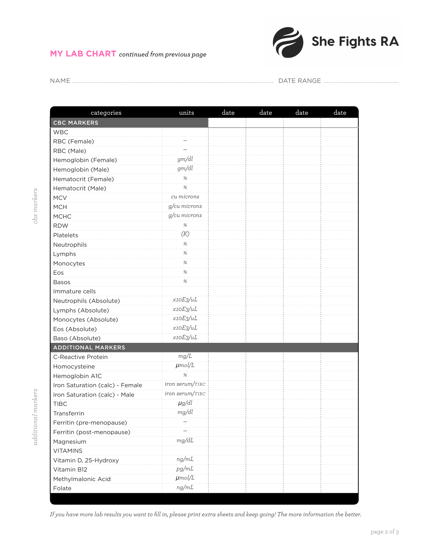## **MY LAB CHART** *continued from previous page*



NAME.................................................................................................................................... DATE RANGE .................................................

| categories                      | units                    | date | date | date | date |
|---------------------------------|--------------------------|------|------|------|------|
| <b>CBC MARKERS</b>              |                          |      |      |      |      |
| <b>WBC</b>                      |                          |      |      |      |      |
| RBC (Female)                    |                          |      |      |      |      |
| RBC (Male)                      | $\overline{\phantom{0}}$ |      |      |      |      |
| Hemoglobin (Female)             | gm/dl                    |      |      |      |      |
| Hemoglobin (Male)               | gm/dl                    |      |      |      |      |
| Hematocrit (Female)             | $\%$                     |      |      |      |      |
| Hematocrit (Male)               | $\%$                     |      |      |      |      |
| <b>MCV</b>                      | cu microns               |      |      |      |      |
| <b>MCH</b>                      | g/cu microns             |      |      |      |      |
| <b>MCHC</b>                     | g/cu microns             |      |      |      |      |
| <b>RDW</b>                      | $\%$                     |      |      |      |      |
| Platelets                       | (K)                      |      |      |      |      |
| Neutrophils                     | $\%$                     |      |      |      |      |
| Lymphs                          | $\%$                     |      |      |      |      |
| Monocytes                       | $\%$                     |      |      |      |      |
| Eos                             | $\%$                     |      |      |      |      |
| <b>Basos</b>                    | $\%$                     |      |      |      |      |
| Immature cells                  |                          |      |      |      |      |
| Neutrophils (Absolute)          | x10E3/uL                 |      |      |      |      |
| Lymphs (Absolute)               | x10E3/uL                 |      |      |      |      |
| Monocytes (Absolute)            | x10E3/uL                 |      |      |      |      |
| Eos (Absolute)                  | x10E3/uL                 |      |      |      |      |
| Baso (Absolute)                 | x10E3/uL                 |      |      |      |      |
| <b>ADDITIONAL MARKERS</b>       |                          |      |      |      |      |
| C-Reactive Protein              | mg/L                     |      |      |      |      |
| Homocysteine                    | $\mu$ mol/L              |      |      |      |      |
| Hemoglobin A1C                  | $\%$                     |      |      |      |      |
| Iron Saturation (calc) - Female | iron serum/TIBC          |      |      |      |      |
| Iron Saturation (calc) - Male   | iron serum/TIBC          |      |      |      |      |
| <b>TIBC</b>                     | $\mu$ g/dl               |      |      |      |      |
| Transferrin                     | mg/dl                    |      |      |      |      |
| Ferritin (pre-menopause)        |                          |      |      |      |      |
| Ferritin (post-menopause)       |                          |      |      |      |      |
| Magnesium                       | mg/dL                    |      |      |      |      |
| <b>VITAMINS</b>                 |                          |      |      |      |      |
| Vitamin D, 25-Hydroxy           | ng/mL                    |      |      |      |      |
| Vitamin B12                     | pg/mL                    |      |      |      |      |
| Methylmalonic Acid              | $\mu$ mol/L              |      |      |      |      |
| Folate                          | ng/mL                    |      |      |      |      |
|                                 |                          |      |      |      |      |

*If you have more lab results you want to fill in, please print extra sheets and keep going! The more information the better.*